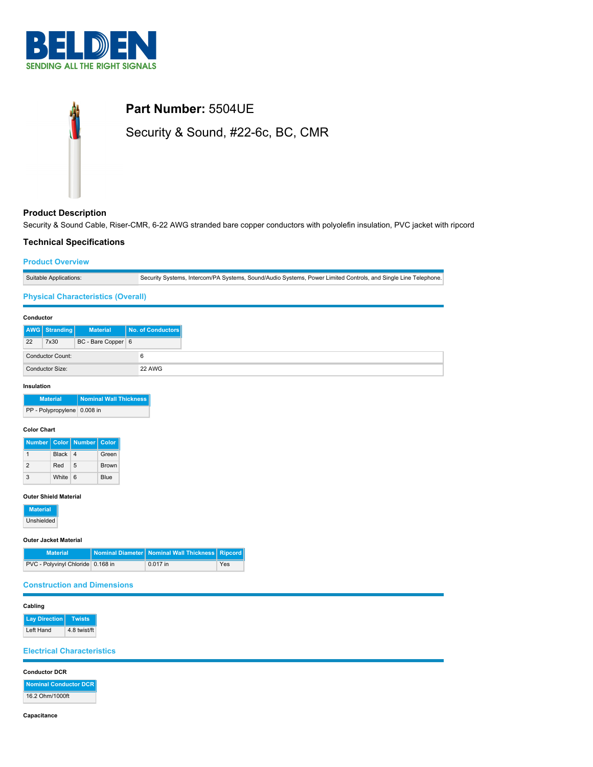



## **Product Description**

Security & Sound Cable, Riser-CMR, 6-22 AWG stranded bare copper conductors with polyolefin insulation, PVC jacket with ripcord

## **Technical Specifications**

### **Product Overview**

|  |  | Suitable Applications: | Security Systems, Intercom/PA Systems, Sound/Audio Systems, Power Limited Controls, and Single Line Telephone. |
|--|--|------------------------|----------------------------------------------------------------------------------------------------------------|
|--|--|------------------------|----------------------------------------------------------------------------------------------------------------|

### **Physical Characteristics (Overall)**

#### **Conductor**

|    | AWG Stranding           | <b>Material</b>    | No. of Conductors |
|----|-------------------------|--------------------|-------------------|
| 22 | 7x30                    | BC - Bare Copper 6 |                   |
|    | <b>Conductor Count:</b> |                    |                   |
|    | Conductor Size:         |                    | 22 AWG            |

#### **Insulation**

| <b>Material</b>             | Nominal Wall Thickness |
|-----------------------------|------------------------|
| PP - Polypropylene 0.008 in |                        |

### **Color Chart**

|               |         | Number   Color   Number   Color |              |
|---------------|---------|---------------------------------|--------------|
|               | Black 4 |                                 | Green        |
| $\mathcal{P}$ | Red     | 5                               | <b>Brown</b> |
|               | White 6 |                                 | Blue         |

### **Outer Shield Material**

| <b>Material</b> |
|-----------------|
| Unshielded      |

#### **Outer Jacket Material**

| <b>Material</b>                   | Nominal Diameter   Nominal Wall Thickness   Ripcord |     |
|-----------------------------------|-----------------------------------------------------|-----|
| PVC - Polyvinyl Chloride 0.168 in | $0.017$ in                                          | Yes |

### **Construction and Dimensions**

#### **Cabling**

**Lay Direction Twists** Left Hand 4.8 twist/ft

#### **Electrical Characteristics**

#### **Conductor DCR**

**Nominal Conductor DCR** 16.2 Ohm/1000ft

**Capacitance**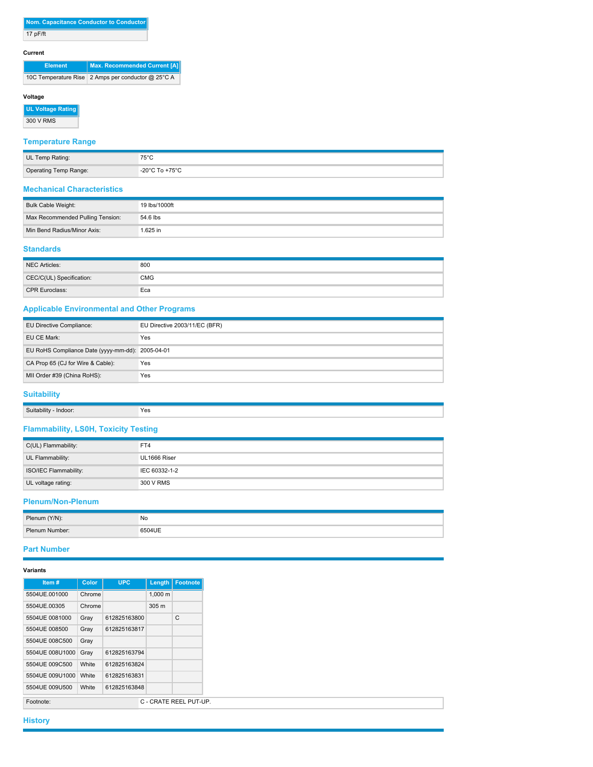#### **Current**

| <b>Element</b> | Max. Recommended Current [A]                       |
|----------------|----------------------------------------------------|
|                | 10C Temperature Rise 2 Amps per conductor @ 25°C A |

### **Voltage**

**UL Voltage Rating** 300 V RMS

# **Temperature Range**

| UL Temp Rating:       | $75^{\circ}$ C                       |
|-----------------------|--------------------------------------|
| Operating Temp Range: | -20 $^{\circ}$ C To +75 $^{\circ}$ C |

#### **Mechanical Characteristics**

| Bulk Cable Weight:               | 19 lbs/1000ft |
|----------------------------------|---------------|
| Max Recommended Pulling Tension: | 54.6 lbs      |
| Min Bend Radius/Minor Axis:      | .625 in       |

### **Standards**

| NEC Articles:            | 800        |
|--------------------------|------------|
| CEC/C(UL) Specification: | <b>CMG</b> |
| <b>CPR Euroclass:</b>    | Eca        |

# **Applicable Environmental and Other Programs**

| EU Directive Compliance:                         | EU Directive 2003/11/EC (BFR) |
|--------------------------------------------------|-------------------------------|
| EU CE Mark:                                      | Yes                           |
| EU RoHS Compliance Date (yyyy-mm-dd): 2005-04-01 |                               |
| CA Prop 65 (CJ for Wire & Cable):                | Yes                           |
| MII Order #39 (China RoHS):                      | Yes                           |

# **Suitability**

| Suitability | Yes |
|-------------|-----|
| Indoor      | --  |
|             |     |

# **Flammability, LS0H, Toxicity Testing**

| C(UL) Flammability:   | FT4           |
|-----------------------|---------------|
| UL Flammability:      | UL1666 Riser  |
| ISO/IEC Flammability: | IEC 60332-1-2 |
| UL voltage rating:    | 300 V RMS     |

## **Plenum/Non-Plenum**

| Plenum (Y/N):  | No     |
|----------------|--------|
| Plenum Number: | 6504UE |

### **Part Number**

# **Variants**

| Item#           | Color  | <b>UPC</b>   |                  | Length   Footnote      |
|-----------------|--------|--------------|------------------|------------------------|
| 5504UE.001000   | Chrome |              | $1,000 \; m$     |                        |
| 5504UE.00305    | Chrome |              | 305 <sub>m</sub> |                        |
| 5504UE 0081000  | Gray   | 612825163800 |                  | C                      |
| 5504UE 008500   | Gray   | 612825163817 |                  |                        |
| 5504UE 008C500  | Gray   |              |                  |                        |
| 5504UE 008U1000 | Gray   | 612825163794 |                  |                        |
| 5504UE 009C500  | White  | 612825163824 |                  |                        |
| 5504UE 009U1000 | White  | 612825163831 |                  |                        |
| 5504UE 009U500  | White  | 612825163848 |                  |                        |
| Footnote:       |        |              |                  | C - CRATE REEL PUT-UP. |

**History**